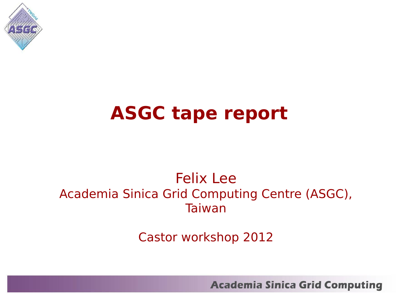

### **ASGC tape report**

#### Felix Lee Academia Sinica Grid Computing Centre (ASGC), Taiwan

Castor workshop 2012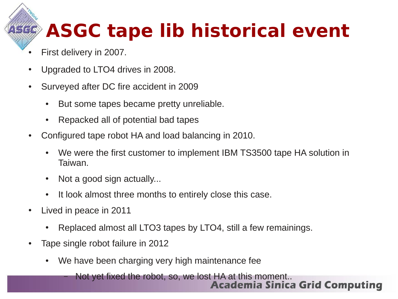# **ASGC tape lib historical event**

- First delivery in 2007.
- Upgraded to LTO4 drives in 2008.
- Surveyed after DC fire accident in 2009
	- But some tapes became pretty unreliable.
	- Repacked all of potential bad tapes
- Configured tape robot HA and load balancing in 2010.
	- We were the first customer to implement IBM TS3500 tape HA solution in Taiwan.
	- $\bullet$  Not a good sign actually...
	- It look almost three months to entirely close this case.
- Lived in peace in 2011
	- Replaced almost all LTO3 tapes by LTO4, still a few remainings.
- Tape single robot failure in 2012
	- We have been charging very high maintenance fee

Not yet fixed the robot, so, we lost HA at this moment..<br>**Academia Sinica Grid Computing**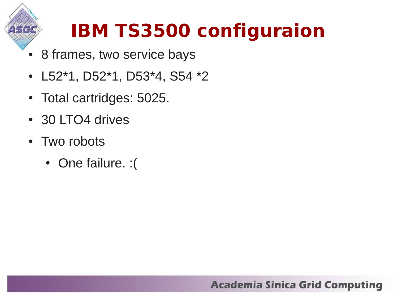

## **IBM TS3500 configuraion**

- 8 frames, two service bays
- L52\*1, D52\*1, D53\*4, S54 \*2
- Total cartridges: 5025.
- 30 LTO4 drives
- Two robots
	- One failure. : (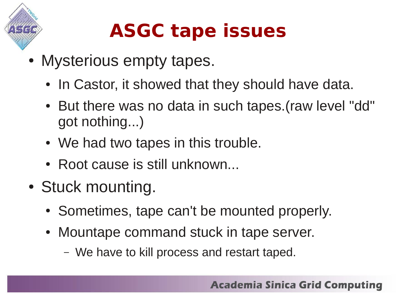

- Mysterious empty tapes.
	- In Castor, it showed that they should have data.
	- But there was no data in such tapes.(raw level "dd" got nothing...)
	- We had two tapes in this trouble.
	- Root cause is still unknown...
- Stuck mounting.
	- Sometimes, tape can't be mounted properly.
	- Mountape command stuck in tape server.
		- We have to kill process and restart taped.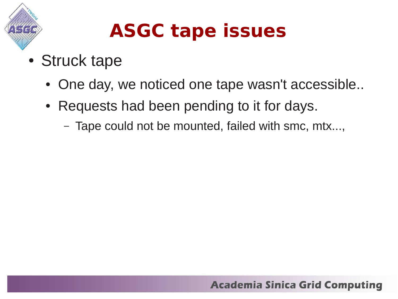

- Struck tape
	- One day, we noticed one tape wasn't accessible..
	- Requests had been pending to it for days.
		- Tape could not be mounted, failed with smc, mtx...,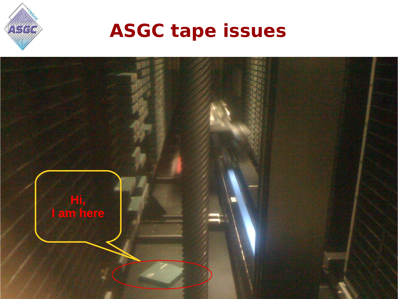

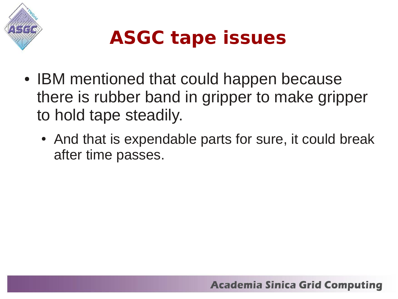

- IBM mentioned that could happen because there is rubber band in gripper to make gripper to hold tape steadily.
	- And that is expendable parts for sure, it could break after time passes.